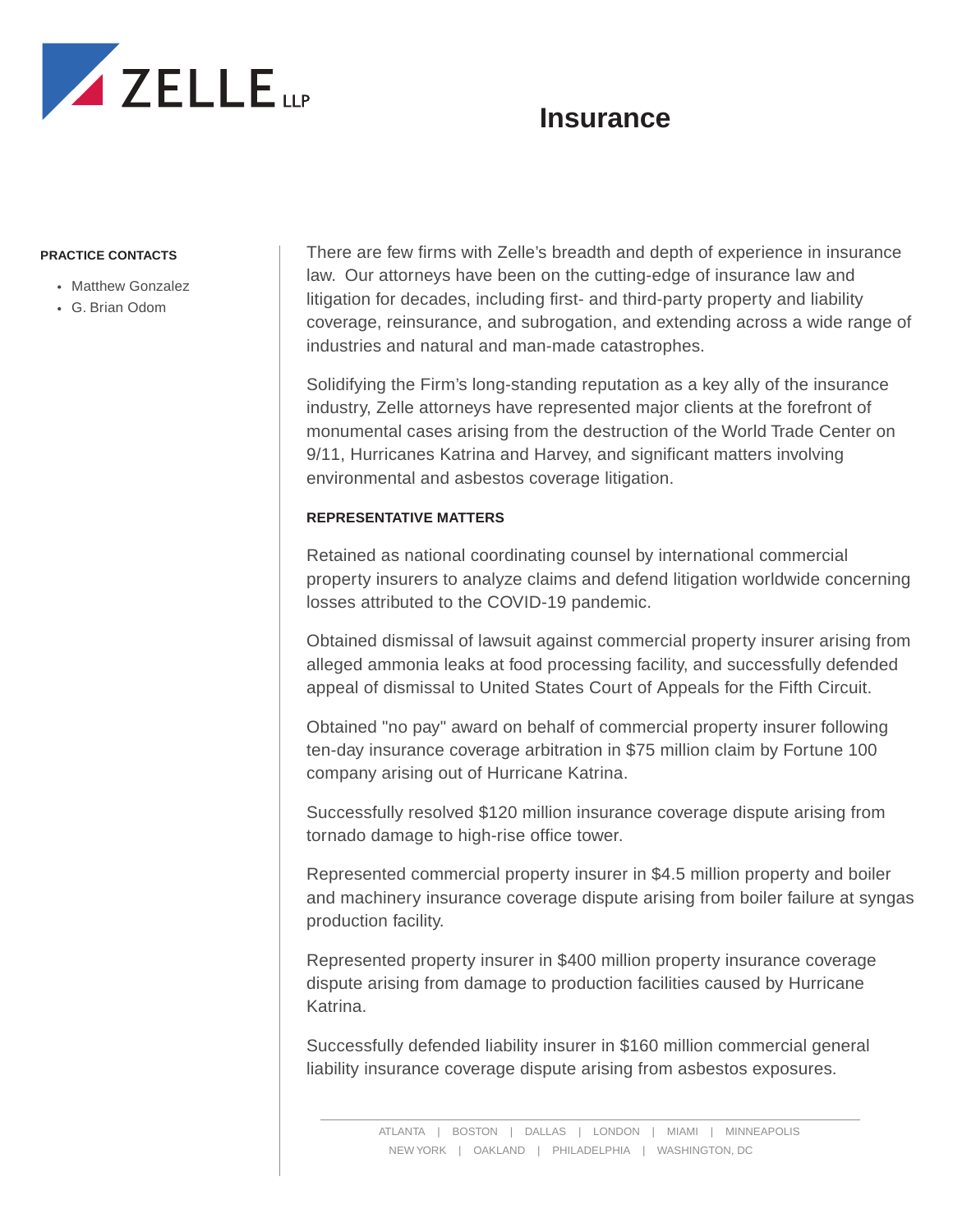

## **Insurance**

## **PRACTICE CONTACTS**

- Matthew Gonzalez
- G. Brian Odom

There are few firms with Zelle's breadth and depth of experience in insurance law. Our attorneys have been on the cutting-edge of insurance law and litigation for decades, including first- and third-party property and liability coverage, reinsurance, and subrogation, and extending across a wide range of industries and natural and man-made catastrophes.

Solidifying the Firm's long-standing reputation as a key ally of the insurance industry, Zelle attorneys have represented major clients at the forefront of monumental cases arising from the destruction of the World Trade Center on 9/11, Hurricanes Katrina and Harvey, and significant matters involving environmental and asbestos coverage litigation.

## **REPRESENTATIVE MATTERS**

Retained as national coordinating counsel by international commercial property insurers to analyze claims and defend litigation worldwide concerning losses attributed to the COVID-19 pandemic.

Obtained dismissal of lawsuit against commercial property insurer arising from alleged ammonia leaks at food processing facility, and successfully defended appeal of dismissal to United States Court of Appeals for the Fifth Circuit.

Obtained "no pay" award on behalf of commercial property insurer following ten-day insurance coverage arbitration in \$75 million claim by Fortune 100 company arising out of Hurricane Katrina.

Successfully resolved \$120 million insurance coverage dispute arising from tornado damage to high-rise office tower.

Represented commercial property insurer in \$4.5 million property and boiler and machinery insurance coverage dispute arising from boiler failure at syngas production facility.

Represented property insurer in \$400 million property insurance coverage dispute arising from damage to production facilities caused by Hurricane Katrina.

Successfully defended liability insurer in \$160 million commercial general liability insurance coverage dispute arising from asbestos exposures.